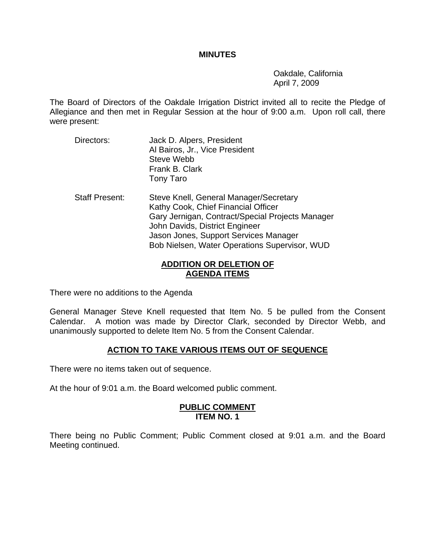#### **MINUTES**

 Oakdale, California April 7, 2009

The Board of Directors of the Oakdale Irrigation District invited all to recite the Pledge of Allegiance and then met in Regular Session at the hour of 9:00 a.m. Upon roll call, there were present:

- Directors: Jack D. Alpers, President Al Bairos, Jr., Vice President Steve Webb Frank B. Clark Tony Taro
- Staff Present: Steve Knell, General Manager/Secretary Kathy Cook, Chief Financial Officer Gary Jernigan, Contract/Special Projects Manager John Davids, District Engineer Jason Jones, Support Services Manager Bob Nielsen, Water Operations Supervisor, WUD

### **ADDITION OR DELETION OF AGENDA ITEMS**

There were no additions to the Agenda

General Manager Steve Knell requested that Item No. 5 be pulled from the Consent Calendar. A motion was made by Director Clark, seconded by Director Webb, and unanimously supported to delete Item No. 5 from the Consent Calendar.

## **ACTION TO TAKE VARIOUS ITEMS OUT OF SEQUENCE**

There were no items taken out of sequence.

At the hour of 9:01 a.m. the Board welcomed public comment.

#### **PUBLIC COMMENT ITEM NO. 1**

There being no Public Comment; Public Comment closed at 9:01 a.m. and the Board Meeting continued.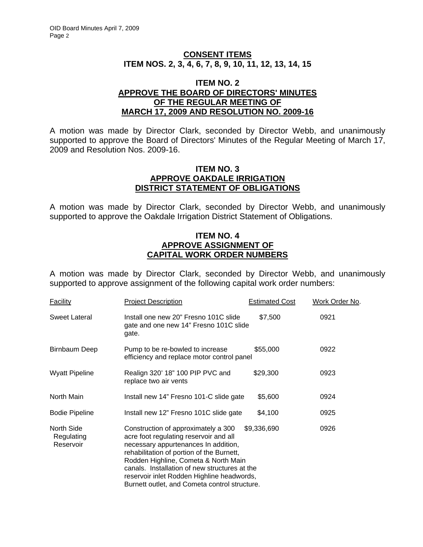## **CONSENT ITEMS ITEM NOS. 2, 3, 4, 6, 7, 8, 9, 10, 11, 12, 13, 14, 15**

#### **ITEM NO. 2 APPROVE THE BOARD OF DIRECTORS' MINUTES OF THE REGULAR MEETING OF MARCH 17, 2009 AND RESOLUTION NO. 2009-16**

A motion was made by Director Clark, seconded by Director Webb, and unanimously supported to approve the Board of Directors' Minutes of the Regular Meeting of March 17, 2009 and Resolution Nos. 2009-16.

#### **ITEM NO. 3 APPROVE OAKDALE IRRIGATION DISTRICT STATEMENT OF OBLIGATIONS**

A motion was made by Director Clark, seconded by Director Webb, and unanimously supported to approve the Oakdale Irrigation District Statement of Obligations.

### **ITEM NO. 4 APPROVE ASSIGNMENT OF CAPITAL WORK ORDER NUMBERS**

A motion was made by Director Clark, seconded by Director Webb, and unanimously supported to approve assignment of the following capital work order numbers:

| <b>Facility</b>                       | <b>Project Description</b>                                                                                                                                                                                                                                                                                                                                 | <b>Estimated Cost</b> | Work Order No. |
|---------------------------------------|------------------------------------------------------------------------------------------------------------------------------------------------------------------------------------------------------------------------------------------------------------------------------------------------------------------------------------------------------------|-----------------------|----------------|
| Sweet Lateral                         | Install one new 20" Fresno 101C slide<br>gate and one new 14" Fresno 101C slide<br>gate.                                                                                                                                                                                                                                                                   | \$7,500               | 0921           |
| Birnbaum Deep                         | Pump to be re-bowled to increase<br>efficiency and replace motor control panel                                                                                                                                                                                                                                                                             | \$55,000              | 0922           |
| <b>Wyatt Pipeline</b>                 | Realign 320' 18" 100 PIP PVC and<br>replace two air vents                                                                                                                                                                                                                                                                                                  | \$29,300              | 0923           |
| North Main                            | Install new 14" Fresno 101-C slide gate                                                                                                                                                                                                                                                                                                                    | \$5,600               | 0924           |
| <b>Bodie Pipeline</b>                 | Install new 12" Fresno 101C slide gate                                                                                                                                                                                                                                                                                                                     | \$4,100               | 0925           |
| North Side<br>Regulating<br>Reservoir | Construction of approximately a 300<br>acre foot regulating reservoir and all<br>necessary appurtenances In addition,<br>rehabilitation of portion of the Burnett,<br>Rodden Highline, Cometa & North Main<br>canals. Installation of new structures at the<br>reservoir inlet Rodden Highline headwords,<br>Burnett outlet, and Cometa control structure. | \$9,336,690           | 0926           |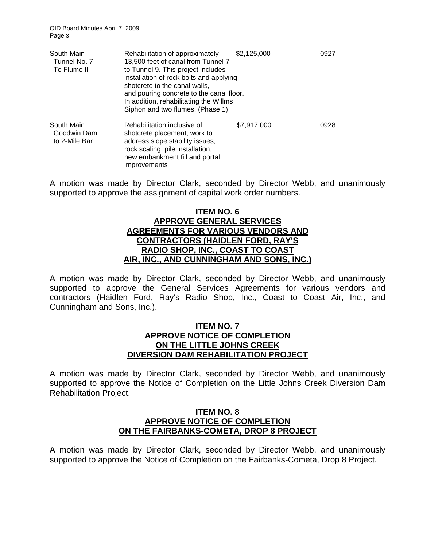OID Board Minutes April 7, 2009 Page 3

| South Main<br>Tunnel No. 7<br>To Flume II  | Rehabilitation of approximately<br>13,500 feet of canal from Tunnel 7<br>to Tunnel 9. This project includes<br>installation of rock bolts and applying<br>shotcrete to the canal walls,<br>and pouring concrete to the canal floor.<br>In addition, rehabilitating the Willms<br>Siphon and two flumes. (Phase 1) | \$2,125,000 | 0927 |
|--------------------------------------------|-------------------------------------------------------------------------------------------------------------------------------------------------------------------------------------------------------------------------------------------------------------------------------------------------------------------|-------------|------|
| South Main<br>Goodwin Dam<br>to 2-Mile Bar | Rehabilitation inclusive of<br>shotcrete placement, work to<br>address slope stability issues,<br>rock scaling, pile installation,<br>new embankment fill and portal<br>improvements                                                                                                                              | \$7,917,000 | 0928 |

A motion was made by Director Clark, seconded by Director Webb, and unanimously supported to approve the assignment of capital work order numbers.

### **ITEM NO. 6 APPROVE GENERAL SERVICES AGREEMENTS FOR VARIOUS VENDORS AND CONTRACTORS (HAIDLEN FORD, RAY'S RADIO SHOP, INC., COAST TO COAST AIR, INC., AND CUNNINGHAM AND SONS, INC.)**

A motion was made by Director Clark, seconded by Director Webb, and unanimously supported to approve the General Services Agreements for various vendors and contractors (Haidlen Ford, Ray's Radio Shop, Inc., Coast to Coast Air, Inc., and Cunningham and Sons, Inc.).

#### **ITEM NO. 7 APPROVE NOTICE OF COMPLETION ON THE LITTLE JOHNS CREEK DIVERSION DAM REHABILITATION PROJECT**

A motion was made by Director Clark, seconded by Director Webb, and unanimously supported to approve the Notice of Completion on the Little Johns Creek Diversion Dam Rehabilitation Project.

#### **ITEM NO. 8 APPROVE NOTICE OF COMPLETION ON THE FAIRBANKS-COMETA, DROP 8 PROJECT**

A motion was made by Director Clark, seconded by Director Webb, and unanimously supported to approve the Notice of Completion on the Fairbanks-Cometa, Drop 8 Project.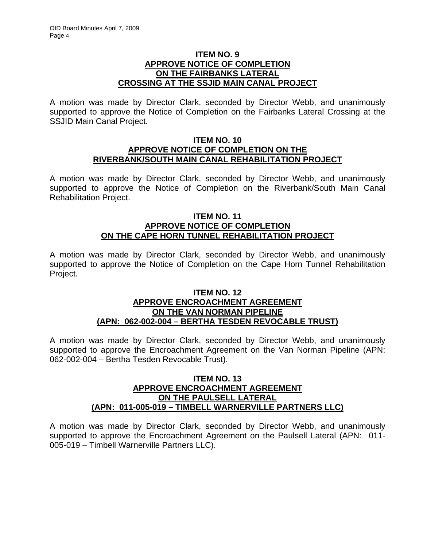#### **ITEM NO. 9 APPROVE NOTICE OF COMPLETION ON THE FAIRBANKS LATERAL CROSSING AT THE SSJID MAIN CANAL PROJECT**

A motion was made by Director Clark, seconded by Director Webb, and unanimously supported to approve the Notice of Completion on the Fairbanks Lateral Crossing at the SSJID Main Canal Project.

#### **ITEM NO. 10 APPROVE NOTICE OF COMPLETION ON THE RIVERBANK/SOUTH MAIN CANAL REHABILITATION PROJECT**

A motion was made by Director Clark, seconded by Director Webb, and unanimously supported to approve the Notice of Completion on the Riverbank/South Main Canal Rehabilitation Project.

### **ITEM NO. 11 APPROVE NOTICE OF COMPLETION ON THE CAPE HORN TUNNEL REHABILITATION PROJECT**

A motion was made by Director Clark, seconded by Director Webb, and unanimously supported to approve the Notice of Completion on the Cape Horn Tunnel Rehabilitation Project.

#### **ITEM NO. 12 APPROVE ENCROACHMENT AGREEMENT ON THE VAN NORMAN PIPELINE (APN: 062-002-004 – BERTHA TESDEN REVOCABLE TRUST)**

A motion was made by Director Clark, seconded by Director Webb, and unanimously supported to approve the Encroachment Agreement on the Van Norman Pipeline (APN: 062-002-004 – Bertha Tesden Revocable Trust).

#### **ITEM NO. 13 APPROVE ENCROACHMENT AGREEMENT ON THE PAULSELL LATERAL (APN: 011-005-019 – TIMBELL WARNERVILLE PARTNERS LLC)**

A motion was made by Director Clark, seconded by Director Webb, and unanimously supported to approve the Encroachment Agreement on the Paulsell Lateral (APN: 011- 005-019 – Timbell Warnerville Partners LLC).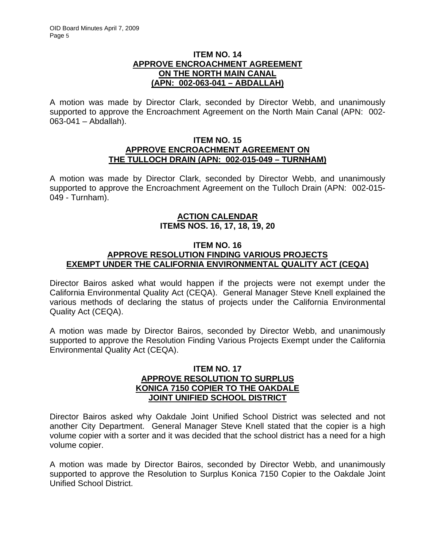#### **ITEM NO. 14 APPROVE ENCROACHMENT AGREEMENT ON THE NORTH MAIN CANAL (APN: 002-063-041 – ABDALLAH)**

A motion was made by Director Clark, seconded by Director Webb, and unanimously supported to approve the Encroachment Agreement on the North Main Canal (APN: 002- 063-041 – Abdallah).

#### **ITEM NO. 15 APPROVE ENCROACHMENT AGREEMENT ON THE TULLOCH DRAIN (APN: 002-015-049 – TURNHAM)**

A motion was made by Director Clark, seconded by Director Webb, and unanimously supported to approve the Encroachment Agreement on the Tulloch Drain (APN: 002-015- 049 - Turnham).

### **ACTION CALENDAR ITEMS NOS. 16, 17, 18, 19, 20**

#### **ITEM NO. 16 APPROVE RESOLUTION FINDING VARIOUS PROJECTS EXEMPT UNDER THE CALIFORNIA ENVIRONMENTAL QUALITY ACT (CEQA)**

Director Bairos asked what would happen if the projects were not exempt under the California Environmental Quality Act (CEQA). General Manager Steve Knell explained the various methods of declaring the status of projects under the California Environmental Quality Act (CEQA).

A motion was made by Director Bairos, seconded by Director Webb, and unanimously supported to approve the Resolution Finding Various Projects Exempt under the California Environmental Quality Act (CEQA).

#### **ITEM NO. 17 APPROVE RESOLUTION TO SURPLUS KONICA 7150 COPIER TO THE OAKDALE JOINT UNIFIED SCHOOL DISTRICT**

Director Bairos asked why Oakdale Joint Unified School District was selected and not another City Department. General Manager Steve Knell stated that the copier is a high volume copier with a sorter and it was decided that the school district has a need for a high volume copier.

A motion was made by Director Bairos, seconded by Director Webb, and unanimously supported to approve the Resolution to Surplus Konica 7150 Copier to the Oakdale Joint Unified School District.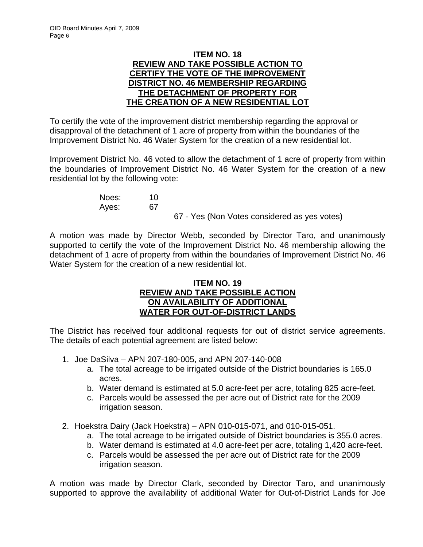## **ITEM NO. 18 REVIEW AND TAKE POSSIBLE ACTION TO CERTIFY THE VOTE OF THE IMPROVEMENT DISTRICT NO. 46 MEMBERSHIP REGARDING THE DETACHMENT OF PROPERTY FOR THE CREATION OF A NEW RESIDENTIAL LOT**

To certify the vote of the improvement district membership regarding the approval or disapproval of the detachment of 1 acre of property from within the boundaries of the Improvement District No. 46 Water System for the creation of a new residential lot.

Improvement District No. 46 voted to allow the detachment of 1 acre of property from within the boundaries of Improvement District No. 46 Water System for the creation of a new residential lot by the following vote:

> Noes: 10 Ayes: 67 67 - Yes (Non Votes considered as yes votes)

A motion was made by Director Webb, seconded by Director Taro, and unanimously supported to certify the vote of the Improvement District No. 46 membership allowing the detachment of 1 acre of property from within the boundaries of Improvement District No. 46 Water System for the creation of a new residential lot.

## **ITEM NO. 19 REVIEW AND TAKE POSSIBLE ACTION ON AVAILABILITY OF ADDITIONAL WATER FOR OUT-OF-DISTRICT LANDS**

The District has received four additional requests for out of district service agreements. The details of each potential agreement are listed below:

- 1. Joe DaSilva APN 207-180-005, and APN 207-140-008
	- a. The total acreage to be irrigated outside of the District boundaries is 165.0 acres.
	- b. Water demand is estimated at 5.0 acre-feet per acre, totaling 825 acre-feet.
	- c. Parcels would be assessed the per acre out of District rate for the 2009 irrigation season.
- 2. Hoekstra Dairy (Jack Hoekstra) APN 010-015-071, and 010-015-051.
	- a. The total acreage to be irrigated outside of District boundaries is 355.0 acres.
	- b. Water demand is estimated at 4.0 acre-feet per acre, totaling 1,420 acre-feet.
	- c. Parcels would be assessed the per acre out of District rate for the 2009 irrigation season.

A motion was made by Director Clark, seconded by Director Taro, and unanimously supported to approve the availability of additional Water for Out-of-District Lands for Joe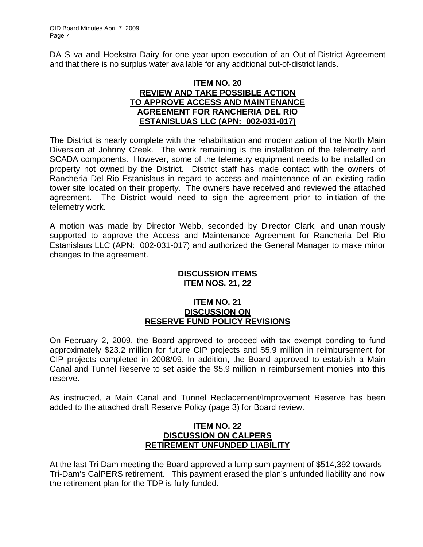DA Silva and Hoekstra Dairy for one year upon execution of an Out-of-District Agreement and that there is no surplus water available for any additional out-of-district lands.

#### **ITEM NO. 20 REVIEW AND TAKE POSSIBLE ACTION TO APPROVE ACCESS AND MAINTENANCE AGREEMENT FOR RANCHERIA DEL RIO ESTANISLUAS LLC (APN: 002-031-017)**

The District is nearly complete with the rehabilitation and modernization of the North Main Diversion at Johnny Creek. The work remaining is the installation of the telemetry and SCADA components. However, some of the telemetry equipment needs to be installed on property not owned by the District. District staff has made contact with the owners of Rancheria Del Rio Estanislaus in regard to access and maintenance of an existing radio tower site located on their property. The owners have received and reviewed the attached agreement. The District would need to sign the agreement prior to initiation of the telemetry work.

A motion was made by Director Webb, seconded by Director Clark, and unanimously supported to approve the Access and Maintenance Agreement for Rancheria Del Rio Estanislaus LLC (APN: 002-031-017) and authorized the General Manager to make minor changes to the agreement.

### **DISCUSSION ITEMS ITEM NOS. 21, 22**

#### **ITEM NO. 21 DISCUSSION ON RESERVE FUND POLICY REVISIONS**

On February 2, 2009, the Board approved to proceed with tax exempt bonding to fund approximately \$23.2 million for future CIP projects and \$5.9 million in reimbursement for CIP projects completed in 2008/09. In addition, the Board approved to establish a Main Canal and Tunnel Reserve to set aside the \$5.9 million in reimbursement monies into this reserve.

As instructed, a Main Canal and Tunnel Replacement/Improvement Reserve has been added to the attached draft Reserve Policy (page 3) for Board review.

### **ITEM NO. 22 DISCUSSION ON CALPERS RETIREMENT UNFUNDED LIABILITY**

At the last Tri Dam meeting the Board approved a lump sum payment of \$514,392 towards Tri-Dam's CalPERS retirement. This payment erased the plan's unfunded liability and now the retirement plan for the TDP is fully funded.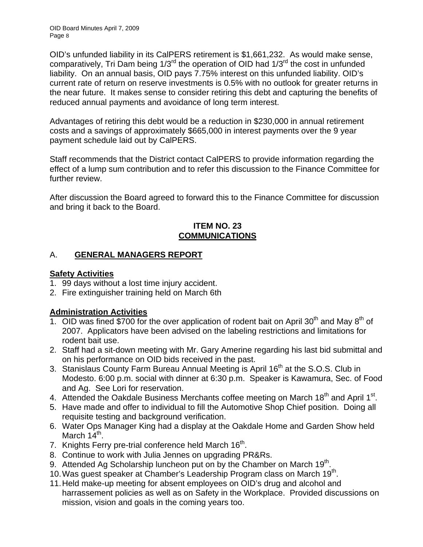OID Board Minutes April 7, 2009 Page 8

OID's unfunded liability in its CalPERS retirement is \$1,661,232. As would make sense, comparatively, Tri Dam being  $1/3<sup>rd</sup>$  the operation of OID had  $1/3<sup>rd</sup>$  the cost in unfunded liability. On an annual basis, OID pays 7.75% interest on this unfunded liability. OID's current rate of return on reserve investments is 0.5% with no outlook for greater returns in the near future. It makes sense to consider retiring this debt and capturing the benefits of reduced annual payments and avoidance of long term interest.

Advantages of retiring this debt would be a reduction in \$230,000 in annual retirement costs and a savings of approximately \$665,000 in interest payments over the 9 year payment schedule laid out by CalPERS.

Staff recommends that the District contact CalPERS to provide information regarding the effect of a lump sum contribution and to refer this discussion to the Finance Committee for further review.

After discussion the Board agreed to forward this to the Finance Committee for discussion and bring it back to the Board.

## **ITEM NO. 23 COMMUNICATIONS**

# A. **GENERAL MANAGERS REPORT**

## **Safety Activities**

- 1. 99 days without a lost time injury accident.
- 2. Fire extinguisher training held on March 6th

## **Administration Activities**

- 1. OID was fined \$700 for the over application of rodent bait on April 30<sup>th</sup> and May  $8<sup>th</sup>$  of 2007. Applicators have been advised on the labeling restrictions and limitations for rodent bait use.
- 2. Staff had a sit-down meeting with Mr. Gary Amerine regarding his last bid submittal and on his performance on OID bids received in the past.
- 3. Stanislaus County Farm Bureau Annual Meeting is April 16<sup>th</sup> at the S.O.S. Club in Modesto. 6:00 p.m. social with dinner at 6:30 p.m. Speaker is Kawamura, Sec. of Food and Ag. See Lori for reservation.
- 4. Attended the Oakdale Business Merchants coffee meeting on March 18<sup>th</sup> and April 1<sup>st</sup>.
- 5. Have made and offer to individual to fill the Automotive Shop Chief position. Doing all requisite testing and background verification.
- 6. Water Ops Manager King had a display at the Oakdale Home and Garden Show held March  $14<sup>th</sup>$ .
- 7. Knights Ferry pre-trial conference held March 16<sup>th</sup>.
- 8. Continue to work with Julia Jennes on upgrading PR&Rs.
- 9. Attended Ag Scholarship luncheon put on by the Chamber on March 19<sup>th</sup>.
- 10. Was guest speaker at Chamber's Leadership Program class on March 19<sup>th</sup>.
- 11. Held make-up meeting for absent employees on OID's drug and alcohol and harrassement policies as well as on Safety in the Workplace. Provided discussions on mission, vision and goals in the coming years too.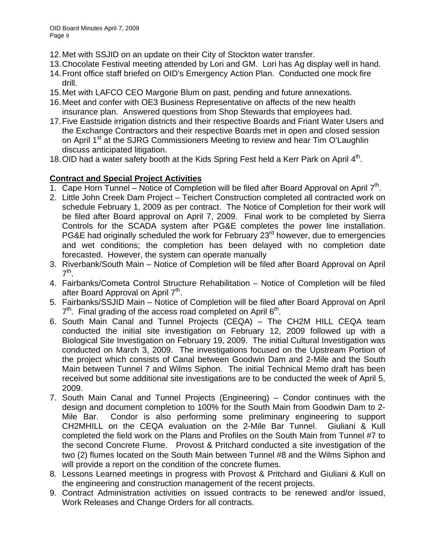- 12. Met with SSJID on an update on their City of Stockton water transfer.
- 13. Chocolate Festival meeting attended by Lori and GM. Lori has Ag display well in hand.
- 14. Front office staff briefed on OID's Emergency Action Plan. Conducted one mock fire drill.
- 15. Met with LAFCO CEO Margorie Blum on past, pending and future annexations.
- 16. Meet and confer with OE3 Business Representative on affects of the new health insurance plan. Answered questions from Shop Stewards that employees had.
- 17. Five Eastside irrigation districts and their respective Boards and Friant Water Users and the Exchange Contractors and their respective Boards met in open and closed session on April 1<sup>st</sup> at the SJRG Commissioners Meeting to review and hear Tim O'Laughlin discuss anticipated litigation.
- 18. OID had a water safety booth at the Kids Spring Fest held a Kerr Park on April 4<sup>th</sup>.

# **Contract and Special Project Activities**

- 1. Cape Horn Tunnel Notice of Completion will be filed after Board Approval on April  $7<sup>th</sup>$ .
- 2. Little John Creek Dam Project Teichert Construction completed all contracted work on schedule February 1, 2009 as per contract. The Notice of Completion for their work will be filed after Board approval on April 7, 2009. Final work to be completed by Sierra Controls for the SCADA system after PG&E completes the power line installation. PG&E had originally scheduled the work for February 23<sup>rd</sup> however, due to emergencies and wet conditions; the completion has been delayed with no completion date forecasted. However, the system can operate manually
- 3. Riverbank/South Main Notice of Completion will be filed after Board Approval on April  $7^{\sf th}$
- 4. Fairbanks/Cometa Control Structure Rehabilitation Notice of Completion will be filed after Board Approval on April 7<sup>th</sup>.
- 5. Fairbanks/SSJID Main Notice of Completion will be filed after Board Approval on April  $7<sup>th</sup>$ . Final grading of the access road completed on April  $6<sup>th</sup>$ .
- 6. South Main Canal and Tunnel Projects (CEQA) The CH2M HILL CEQA team conducted the initial site investigation on February 12, 2009 followed up with a Biological Site Investigation on February 19, 2009. The initial Cultural Investigation was conducted on March 3, 2009. The investigations focused on the Upstream Portion of the project which consists of Canal between Goodwin Dam and 2-Mile and the South Main between Tunnel 7 and Wilms Siphon. The initial Technical Memo draft has been received but some additional site investigations are to be conducted the week of April 5, 2009.
- 7. South Main Canal and Tunnel Projects (Engineering) Condor continues with the design and document completion to 100% for the South Main from Goodwin Dam to 2- Mile Bar. Condor is also performing some preliminary engineering to support CH2MHILL on the CEQA evaluation on the 2-Mile Bar Tunnel. Giuliani & Kull completed the field work on the Plans and Profiles on the South Main from Tunnel #7 to the second Concrete Flume. Provost & Pritchard conducted a site investigation of the two (2) flumes located on the South Main between Tunnel #8 and the Wilms Siphon and will provide a report on the condition of the concrete flumes.
- 8. Lessons Learned meetings in progress with Provost & Pritchard and Giuliani & Kull on the engineering and construction management of the recent projects.
- 9. Contract Administration activities on issued contracts to be renewed and/or issued, Work Releases and Change Orders for all contracts.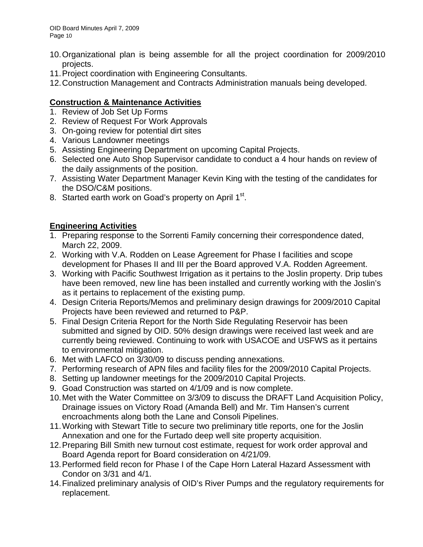- 10. Organizational plan is being assemble for all the project coordination for 2009/2010 projects.
- 11. Project coordination with Engineering Consultants.
- 12. Construction Management and Contracts Administration manuals being developed.

# **Construction & Maintenance Activities**

- 1. Review of Job Set Up Forms
- 2. Review of Request For Work Approvals
- 3. On-going review for potential dirt sites
- 4. Various Landowner meetings
- 5. Assisting Engineering Department on upcoming Capital Projects.
- 6. Selected one Auto Shop Supervisor candidate to conduct a 4 hour hands on review of the daily assignments of the position.
- 7. Assisting Water Department Manager Kevin King with the testing of the candidates for the DSO/C&M positions.
- 8. Started earth work on Goad's property on April 1<sup>st</sup>.

## **Engineering Activities**

- 1. Preparing response to the Sorrenti Family concerning their correspondence dated, March 22, 2009.
- 2. Working with V.A. Rodden on Lease Agreement for Phase I facilities and scope development for Phases II and III per the Board approved V.A. Rodden Agreement.
- 3. Working with Pacific Southwest Irrigation as it pertains to the Joslin property. Drip tubes have been removed, new line has been installed and currently working with the Joslin's as it pertains to replacement of the existing pump.
- 4. Design Criteria Reports/Memos and preliminary design drawings for 2009/2010 Capital Projects have been reviewed and returned to P&P.
- 5. Final Design Criteria Report for the North Side Regulating Reservoir has been submitted and signed by OID. 50% design drawings were received last week and are currently being reviewed. Continuing to work with USACOE and USFWS as it pertains to environmental mitigation.
- 6. Met with LAFCO on 3/30/09 to discuss pending annexations.
- 7. Performing research of APN files and facility files for the 2009/2010 Capital Projects.
- 8. Setting up landowner meetings for the 2009/2010 Capital Projects.
- 9. Goad Construction was started on 4/1/09 and is now complete.
- 10. Met with the Water Committee on 3/3/09 to discuss the DRAFT Land Acquisition Policy, Drainage issues on Victory Road (Amanda Bell) and Mr. Tim Hansen's current encroachments along both the Lane and Consoli Pipelines.
- 11. Working with Stewart Title to secure two preliminary title reports, one for the Joslin Annexation and one for the Furtado deep well site property acquisition.
- 12. Preparing Bill Smith new turnout cost estimate, request for work order approval and Board Agenda report for Board consideration on 4/21/09.
- 13. Performed field recon for Phase I of the Cape Horn Lateral Hazard Assessment with Condor on 3/31 and 4/1.
- 14. Finalized preliminary analysis of OID's River Pumps and the regulatory requirements for replacement.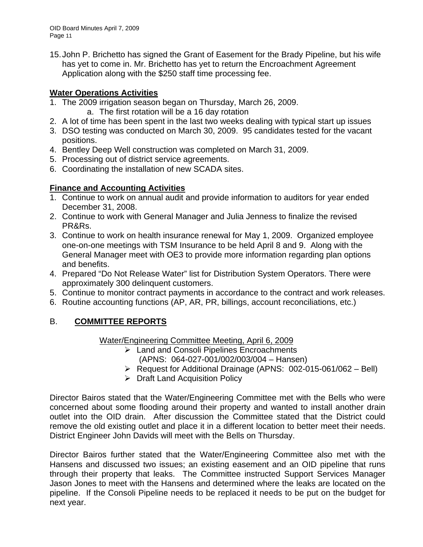15. John P. Brichetto has signed the Grant of Easement for the Brady Pipeline, but his wife has yet to come in. Mr. Brichetto has yet to return the Encroachment Agreement Application along with the \$250 staff time processing fee.

# **Water Operations Activities**

- 1. The 2009 irrigation season began on Thursday, March 26, 2009.
	- a. The first rotation will be a 16 day rotation
- 2. A lot of time has been spent in the last two weeks dealing with typical start up issues
- 3. DSO testing was conducted on March 30, 2009. 95 candidates tested for the vacant positions.
- 4. Bentley Deep Well construction was completed on March 31, 2009.
- 5. Processing out of district service agreements.
- 6. Coordinating the installation of new SCADA sites.

# **Finance and Accounting Activities**

- 1. Continue to work on annual audit and provide information to auditors for year ended December 31, 2008.
- 2. Continue to work with General Manager and Julia Jenness to finalize the revised PR&Rs.
- 3. Continue to work on health insurance renewal for May 1, 2009. Organized employee one-on-one meetings with TSM Insurance to be held April 8 and 9. Along with the General Manager meet with OE3 to provide more information regarding plan options and benefits.
- 4. Prepared "Do Not Release Water" list for Distribution System Operators. There were approximately 300 delinquent customers.
- 5. Continue to monitor contract payments in accordance to the contract and work releases.
- 6. Routine accounting functions (AP, AR, PR, billings, account reconciliations, etc.)

# B. **COMMITTEE REPORTS**

Water/Engineering Committee Meeting, April 6, 2009

- ¾ Land and Consoli Pipelines Encroachments (APNS: 064-027-001/002/003/004 – Hansen)
- ¾ Request for Additional Drainage (APNS: 002-015-061/062 Bell)
- $\triangleright$  Draft Land Acquisition Policy

Director Bairos stated that the Water/Engineering Committee met with the Bells who were concerned about some flooding around their property and wanted to install another drain outlet into the OID drain. After discussion the Committee stated that the District could remove the old existing outlet and place it in a different location to better meet their needs. District Engineer John Davids will meet with the Bells on Thursday.

Director Bairos further stated that the Water/Engineering Committee also met with the Hansens and discussed two issues; an existing easement and an OID pipeline that runs through their property that leaks. The Committee instructed Support Services Manager Jason Jones to meet with the Hansens and determined where the leaks are located on the pipeline. If the Consoli Pipeline needs to be replaced it needs to be put on the budget for next year.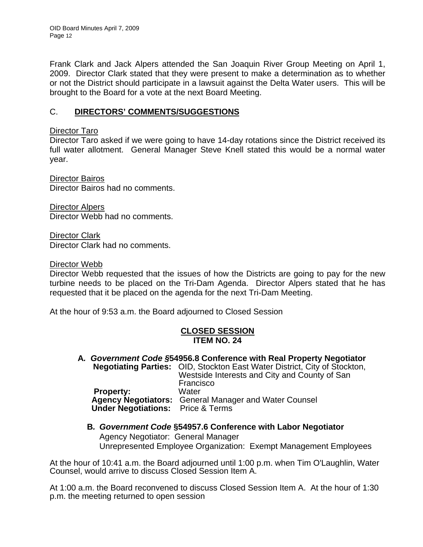Frank Clark and Jack Alpers attended the San Joaquin River Group Meeting on April 1, 2009. Director Clark stated that they were present to make a determination as to whether or not the District should participate in a lawsuit against the Delta Water users. This will be brought to the Board for a vote at the next Board Meeting.

## C. **DIRECTORS' COMMENTS/SUGGESTIONS**

#### Director Taro

Director Taro asked if we were going to have 14-day rotations since the District received its full water allotment. General Manager Steve Knell stated this would be a normal water year.

Director Bairos Director Bairos had no comments.

Director Alpers Director Webb had no comments.

Director Clark Director Clark had no comments.

#### Director Webb

Director Webb requested that the issues of how the Districts are going to pay for the new turbine needs to be placed on the Tri-Dam Agenda. Director Alpers stated that he has requested that it be placed on the agenda for the next Tri-Dam Meeting.

At the hour of 9:53 a.m. the Board adjourned to Closed Session

### **CLOSED SESSION ITEM NO. 24**

- **A***. Government Code §***54956.8 Conference with Real Property Negotiator Negotiating Parties:** OID, Stockton East Water District, City of Stockton, Westside Interests and City and County of San Francisco **Property:** Water **Agency Negotiators:** General Manager and Water Counsel **Under Negotiations:** Price & Terms
	- **B***. Government Code* **§54957.6 Conference with Labor Negotiator** Agency Negotiator: General Manager Unrepresented Employee Organization: Exempt Management Employees

At the hour of 10:41 a.m. the Board adjourned until 1:00 p.m. when Tim O'Laughlin, Water Counsel, would arrive to discuss Closed Session Item A.

At 1:00 a.m. the Board reconvened to discuss Closed Session Item A. At the hour of 1:30 p.m. the meeting returned to open session